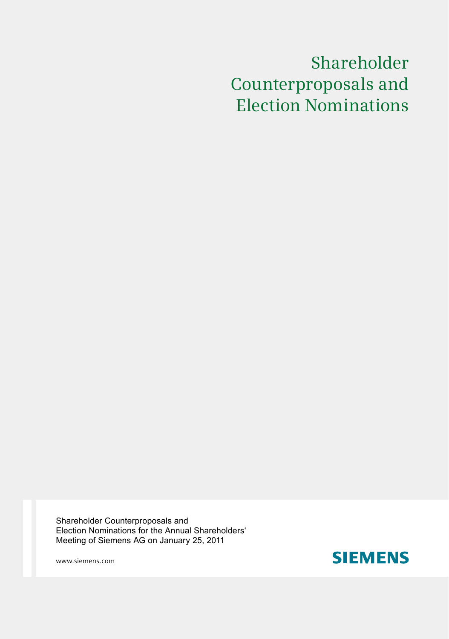# Shareholder Counterproposals and Election Nominations

Shareholder Counterproposals and Election Nominations for the Annual Shareholders' Meeting of Siemens AG on January 25, 2011

www.siemens.com

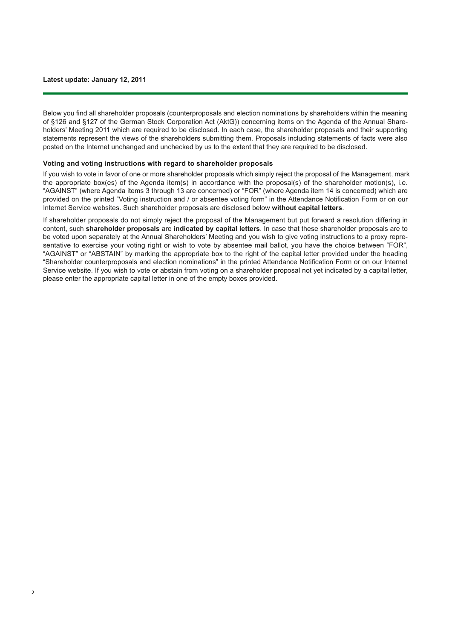Below you find all shareholder proposals (counterproposals and election nominations by shareholders within the meaning of §126 and §127 of the German Stock Corporation Act (AktG)) concerning items on the Agenda of the Annual Shareholders' Meeting 2011 which are required to be disclosed. In each case, the shareholder proposals and their supporting statements represent the views of the shareholders submitting them. Proposals including statements of facts were also posted on the Internet unchanged and unchecked by us to the extent that they are required to be disclosed.

#### **Voting and voting instructions with regard to shareholder proposals**

If you wish to vote in favor of one or more shareholder proposals which simply reject the proposal of the Management, mark the appropriate box(es) of the Agenda item(s) in accordance with the proposal(s) of the shareholder motion(s), i.e. "AGAINST" (where Agenda items 3 through 13 are concerned) or "FOR" (where Agenda item 14 is concerned) which are provided on the printed "Voting instruction and / or absentee voting form" in the Attendance Notification Form or on our Internet Service websites. Such shareholder proposals are disclosed below **without capital letters**.

If shareholder proposals do not simply reject the proposal of the Management but put forward a resolution differing in content, such **shareholder proposals** are **indicated by capital letters**. In case that these shareholder proposals are to be voted upon separately at the Annual Shareholders' Meeting and you wish to give voting instructions to a proxy representative to exercise your voting right or wish to vote by absentee mail ballot, you have the choice between "FOR", "AGAINST" or "ABSTAIN" by marking the appropriate box to the right of the capital letter provided under the heading "Shareholder counterproposals and election nominations" in the printed Attendance Notification Form or on our Internet Service website. If you wish to vote or abstain from voting on a shareholder proposal not yet indicated by a capital letter, please enter the appropriate capital letter in one of the empty boxes provided.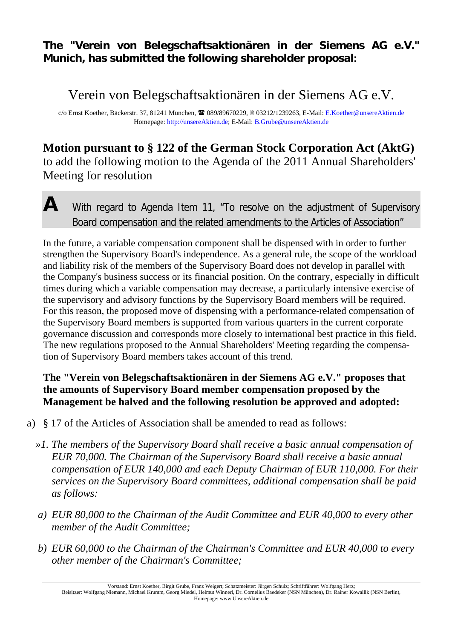### **The "Verein von Belegschaftsaktionären in der Siemens AG e.V." Munich, has submitted the following shareholder proposal:**

# Verein von Belegschaftsaktionären in der Siemens AG e.V.

c/o Ernst Koether, Bäckerstr. 37, 81241 München, 089/89670229, 03212/1239263, E-Mail: E.Koether@unsereAktien.de Homepage: http://unsereAktien.de; E-Mail: B.Grube@unsereAktien.de

## **Motion pursuant to § 122 of the German Stock Corporation Act (AktG)**  to add the following motion to the Agenda of the 2011 Annual Shareholders' Meeting for resolution

# **A** With regard to Agenda Item 11, "To resolve on the adjustment of Supervisory Board compensation and the related amendments to the Articles of Association"

In the future, a variable compensation component shall be dispensed with in order to further strengthen the Supervisory Board's independence. As a general rule, the scope of the workload and liability risk of the members of the Supervisory Board does not develop in parallel with the Company's business success or its financial position. On the contrary, especially in difficult times during which a variable compensation may decrease, a particularly intensive exercise of the supervisory and advisory functions by the Supervisory Board members will be required. For this reason, the proposed move of dispensing with a performance-related compensation of the Supervisory Board members is supported from various quarters in the current corporate governance discussion and corresponds more closely to international best practice in this field. The new regulations proposed to the Annual Shareholders' Meeting regarding the compensation of Supervisory Board members takes account of this trend.

### **The "Verein von Belegschaftsaktionären in der Siemens AG e.V." proposes that the amounts of Supervisory Board member compensation proposed by the Management be halved and the following resolution be approved and adopted:**

- a) § 17 of the Articles of Association shall be amended to read as follows:
	- *»1. The members of the Supervisory Board shall receive a basic annual compensation of EUR 70,000. The Chairman of the Supervisory Board shall receive a basic annual compensation of EUR 140,000 and each Deputy Chairman of EUR 110,000. For their services on the Supervisory Board committees, additional compensation shall be paid as follows:*
	- *a) EUR 80,000 to the Chairman of the Audit Committee and EUR 40,000 to every other member of the Audit Committee;*
	- *b) EUR 60,000 to the Chairman of the Chairman's Committee and EUR 40,000 to every other member of the Chairman's Committee;*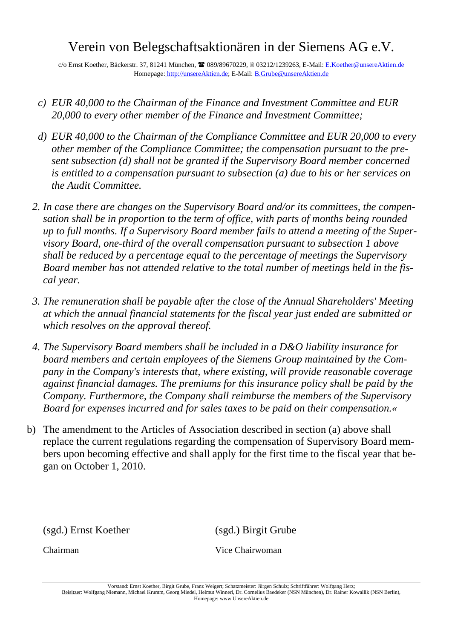# Verein von Belegschaftsaktionären in der Siemens AG e.V.

c/o Ernst Koether, Bäckerstr. 37, 81241 München, 089/89670229, 03212/1239263, E-Mail: E.Koether@unsereAktien.de Homepage: http://unsereAktien.de; E-Mail: B.Grube@unsereAktien.de

- *c) EUR 40,000 to the Chairman of the Finance and Investment Committee and EUR 20,000 to every other member of the Finance and Investment Committee;*
- *d) EUR 40,000 to the Chairman of the Compliance Committee and EUR 20,000 to every other member of the Compliance Committee; the compensation pursuant to the present subsection (d) shall not be granted if the Supervisory Board member concerned is entitled to a compensation pursuant to subsection (a) due to his or her services on the Audit Committee.*
- *2. In case there are changes on the Supervisory Board and/or its committees, the compensation shall be in proportion to the term of office, with parts of months being rounded up to full months. If a Supervisory Board member fails to attend a meeting of the Supervisory Board, one-third of the overall compensation pursuant to subsection 1 above shall be reduced by a percentage equal to the percentage of meetings the Supervisory Board member has not attended relative to the total number of meetings held in the fiscal year.*
- *3. The remuneration shall be payable after the close of the Annual Shareholders' Meeting at which the annual financial statements for the fiscal year just ended are submitted or which resolves on the approval thereof.*
- *4. The Supervisory Board members shall be included in a D&O liability insurance for board members and certain employees of the Siemens Group maintained by the Company in the Company's interests that, where existing, will provide reasonable coverage against financial damages. The premiums for this insurance policy shall be paid by the Company. Furthermore, the Company shall reimburse the members of the Supervisory Board for expenses incurred and for sales taxes to be paid on their compensation.«*
- b) The amendment to the Articles of Association described in section (a) above shall replace the current regulations regarding the compensation of Supervisory Board members upon becoming effective and shall apply for the first time to the fiscal year that began on October 1, 2010.

(sgd.) Ernst Koether (sgd.) Birgit Grube

Chairman Vice Chairwoman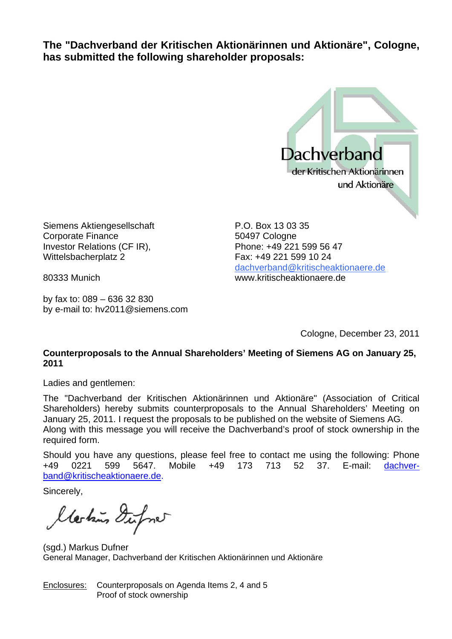**The "Dachverband der Kritischen Aktionärinnen und Aktionäre", Cologne, has submitted the following shareholder proposals:** 



Siemens Aktiengesellschaft Corporate Finance Investor Relations (CF IR), Wittelsbacherplatz 2

80333 Munich

by fax to: 089 – 636 32 830 by e-mail to: hv2011@siemens.com

P.O. Box 13 03 35 50497 Cologne Phone: +49 221 599 56 47 Fax: +49 221 599 10 24 dachverband@kritischeaktionaere.de www.kritischeaktionaere.de

Cologne, December 23, 2011

#### **Counterproposals to the Annual Shareholders' Meeting of Siemens AG on January 25, 2011**

Ladies and gentlemen:

The "Dachverband der Kritischen Aktionärinnen und Aktionäre" (Association of Critical Shareholders) hereby submits counterproposals to the Annual Shareholders' Meeting on January 25, 2011. I request the proposals to be published on the website of Siemens AG. Along with this message you will receive the Dachverband's proof of stock ownership in the required form.

Should you have any questions, please feel free to contact me using the following: Phone +49 0221 599 5647. Mobile +49 173 713 52 37. E-mail: dachverband@kritischeaktionaere.de.

Sincerely,

Markins Dufone

(sgd.) Markus Dufner General Manager, Dachverband der Kritischen Aktionärinnen und Aktionäre

Enclosures: Counterproposals on Agenda Items 2, 4 and 5 Proof of stock ownership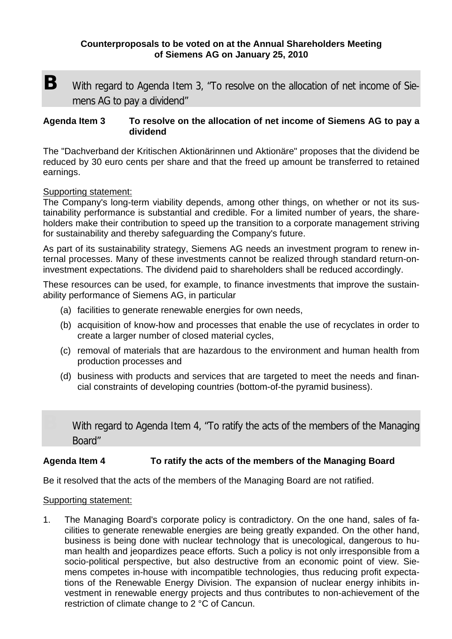#### **Counterproposals to be voted on at the Annual Shareholders Meeting of Siemens AG on January 25, 2010**

**B** With regard to Agenda Item 3, "To resolve on the allocation of net income of Siemens AG to pay a dividend"

#### **Agenda Item 3 To resolve on the allocation of net income of Siemens AG to pay a dividend**

The "Dachverband der Kritischen Aktionärinnen und Aktionäre" proposes that the dividend be reduced by 30 euro cents per share and that the freed up amount be transferred to retained earnings.

#### Supporting statement:

The Company's long-term viability depends, among other things, on whether or not its sustainability performance is substantial and credible. For a limited number of years, the shareholders make their contribution to speed up the transition to a corporate management striving for sustainability and thereby safeguarding the Company's future.

As part of its sustainability strategy, Siemens AG needs an investment program to renew internal processes. Many of these investments cannot be realized through standard return-oninvestment expectations. The dividend paid to shareholders shall be reduced accordingly.

These resources can be used, for example, to finance investments that improve the sustainability performance of Siemens AG, in particular

- (a) facilities to generate renewable energies for own needs,
- (b) acquisition of know-how and processes that enable the use of recyclates in order to create a larger number of closed material cycles,
- (c) removal of materials that are hazardous to the environment and human health from production processes and
- (d) business with products and services that are targeted to meet the needs and financial constraints of developing countries (bottom-of-the pyramid business).

With regard to Agenda Item 4, "To ratify the acts of the members of the Managing Board"

#### **Agenda Item 4 To ratify the acts of the members of the Managing Board**

Be it resolved that the acts of the members of the Managing Board are not ratified.

#### Supporting statement:

1. The Managing Board's corporate policy is contradictory. On the one hand, sales of facilities to generate renewable energies are being greatly expanded. On the other hand, business is being done with nuclear technology that is unecological, dangerous to human health and jeopardizes peace efforts. Such a policy is not only irresponsible from a socio-political perspective, but also destructive from an economic point of view. Siemens competes in-house with incompatible technologies, thus reducing profit expectations of the Renewable Energy Division. The expansion of nuclear energy inhibits investment in renewable energy projects and thus contributes to non-achievement of the restriction of climate change to 2 °C of Cancun.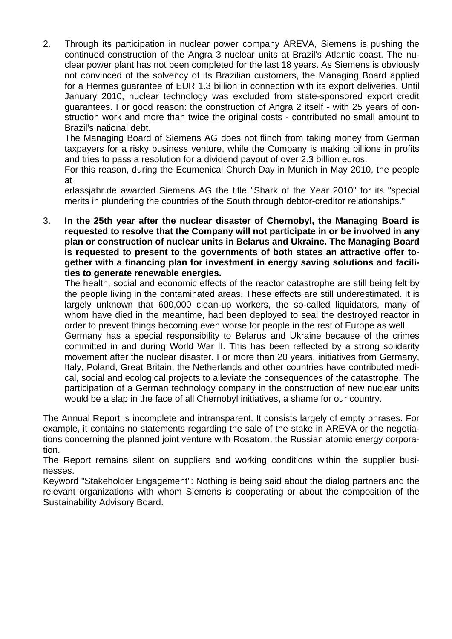2. Through its participation in nuclear power company AREVA, Siemens is pushing the continued construction of the Angra 3 nuclear units at Brazil's Atlantic coast. The nuclear power plant has not been completed for the last 18 years. As Siemens is obviously not convinced of the solvency of its Brazilian customers, the Managing Board applied for a Hermes guarantee of EUR 1.3 billion in connection with its export deliveries. Until January 2010, nuclear technology was excluded from state-sponsored export credit guarantees. For good reason: the construction of Angra 2 itself - with 25 years of construction work and more than twice the original costs - contributed no small amount to Brazil's national debt.

The Managing Board of Siemens AG does not flinch from taking money from German taxpayers for a risky business venture, while the Company is making billions in profits and tries to pass a resolution for a dividend payout of over 2.3 billion euros.

For this reason, during the Ecumenical Church Day in Munich in May 2010, the people at

erlassjahr.de awarded Siemens AG the title "Shark of the Year 2010" for its "special merits in plundering the countries of the South through debtor-creditor relationships."

3. **In the 25th year after the nuclear disaster of Chernobyl, the Managing Board is requested to resolve that the Company will not participate in or be involved in any plan or construction of nuclear units in Belarus and Ukraine. The Managing Board is requested to present to the governments of both states an attractive offer together with a financing plan for investment in energy saving solutions and facilities to generate renewable energies.** 

The health, social and economic effects of the reactor catastrophe are still being felt by the people living in the contaminated areas. These effects are still underestimated. It is largely unknown that 600,000 clean-up workers, the so-called liquidators, many of whom have died in the meantime, had been deployed to seal the destroyed reactor in order to prevent things becoming even worse for people in the rest of Europe as well.

Germany has a special responsibility to Belarus and Ukraine because of the crimes committed in and during World War II. This has been reflected by a strong solidarity movement after the nuclear disaster. For more than 20 years, initiatives from Germany, Italy, Poland, Great Britain, the Netherlands and other countries have contributed medical, social and ecological projects to alleviate the consequences of the catastrophe. The participation of a German technology company in the construction of new nuclear units would be a slap in the face of all Chernobyl initiatives, a shame for our country.

The Annual Report is incomplete and intransparent. It consists largely of empty phrases. For example, it contains no statements regarding the sale of the stake in AREVA or the negotiations concerning the planned joint venture with Rosatom, the Russian atomic energy corporation.

The Report remains silent on suppliers and working conditions within the supplier businesses.

Keyword "Stakeholder Engagement": Nothing is being said about the dialog partners and the relevant organizations with whom Siemens is cooperating or about the composition of the Sustainability Advisory Board.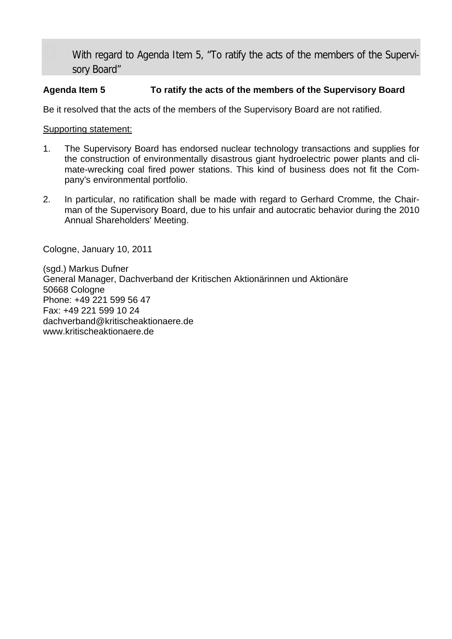With regard to Agenda Item 5, "To ratify the acts of the members of the Supervisory Board"

#### **Agenda Item 5 To ratify the acts of the members of the Supervisory Board**

Be it resolved that the acts of the members of the Supervisory Board are not ratified.

Supporting statement:

- 1. The Supervisory Board has endorsed nuclear technology transactions and supplies for the construction of environmentally disastrous giant hydroelectric power plants and climate-wrecking coal fired power stations. This kind of business does not fit the Company's environmental portfolio.
- 2. In particular, no ratification shall be made with regard to Gerhard Cromme, the Chairman of the Supervisory Board, due to his unfair and autocratic behavior during the 2010 Annual Shareholders' Meeting.

Cologne, January 10, 2011

(sgd.) Markus Dufner General Manager, Dachverband der Kritischen Aktionärinnen und Aktionäre 50668 Cologne Phone: +49 221 599 56 47 Fax: +49 221 599 10 24 dachverband@kritischeaktionaere.de www.kritischeaktionaere.de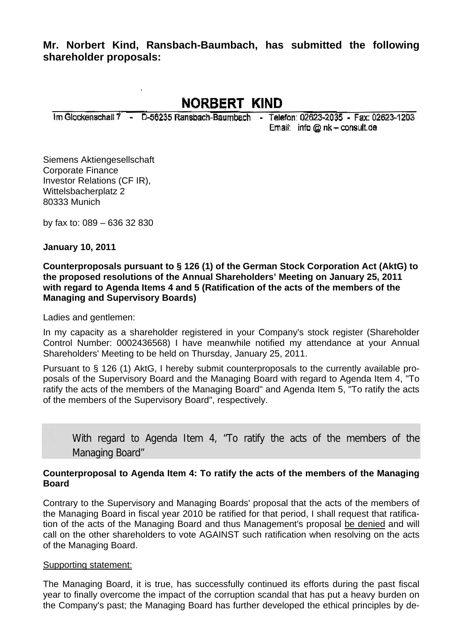**Mr. Norbert Kind, Ransbach-Baumbach, has submitted the following shareholder proposals:** 

**NORBERT KIND** 

Im Glockenschall 7 - D-56235 Ransbach-Baumbach - Telefon: 02623-2035 - Fax: 02623-1203

Email: info @ nk - consult.de

Siemens Aktiengesellschaft Corporate Finance Investor Relations (CF IR), Wittelsbacherplatz 2 80333 Munich

by fax to: 089 – 636 32 830

**January 10, 2011** 

**Counterproposals pursuant to § 126 (1) of the German Stock Corporation Act (AktG) to the proposed resolutions of the Annual Shareholders' Meeting on January 25, 2011 with regard to Agenda Items 4 and 5 (Ratification of the acts of the members of the Managing and Supervisory Boards)** 

Ladies and gentlemen:

In my capacity as a shareholder registered in your Company's stock register (Shareholder Control Number: 0002436568) I have meanwhile notified my attendance at your Annual Shareholders' Meeting to be held on Thursday, January 25, 2011.

Pursuant to § 126 (1) AktG, I hereby submit counterproposals to the currently available proposals of the Supervisory Board and the Managing Board with regard to Agenda Item 4, "To ratify the acts of the members of the Managing Board" and Agenda Item 5, "To ratify the acts of the members of the Supervisory Board", respectively.

With regard to Agenda Item 4, "To ratify the acts of the members of the Managing Board"

#### **Counterproposal to Agenda Item 4: To ratify the acts of the members of the Managing Board**

Contrary to the Supervisory and Managing Boards' proposal that the acts of the members of the Managing Board in fiscal year 2010 be ratified for that period, I shall request that ratification of the acts of the Managing Board and thus Management's proposal be denied and will call on the other shareholders to vote AGAINST such ratification when resolving on the acts of the Managing Board.

#### Supporting statement:

The Managing Board, it is true, has successfully continued its efforts during the past fiscal year to finally overcome the impact of the corruption scandal that has put a heavy burden on the Company's past; the Managing Board has further developed the ethical principles by de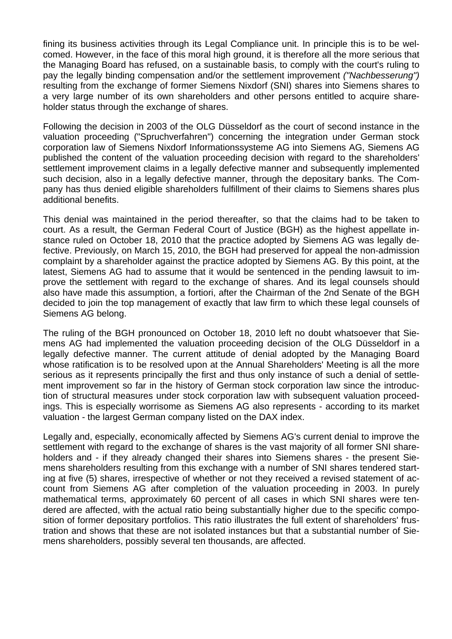fining its business activities through its Legal Compliance unit. In principle this is to be welcomed. However, in the face of this moral high ground, it is therefore all the more serious that the Managing Board has refused, on a sustainable basis, to comply with the court's ruling to pay the legally binding compensation and/or the settlement improvement *("Nachbesserung")* resulting from the exchange of former Siemens Nixdorf (SNI) shares into Siemens shares to a very large number of its own shareholders and other persons entitled to acquire shareholder status through the exchange of shares.

Following the decision in 2003 of the OLG Düsseldorf as the court of second instance in the valuation proceeding ("Spruchverfahren") concerning the integration under German stock corporation law of Siemens Nixdorf Informationssysteme AG into Siemens AG, Siemens AG published the content of the valuation proceeding decision with regard to the shareholders' settlement improvement claims in a legally defective manner and subsequently implemented such decision, also in a legally defective manner, through the depositary banks. The Company has thus denied eligible shareholders fulfillment of their claims to Siemens shares plus additional benefits.

This denial was maintained in the period thereafter, so that the claims had to be taken to court. As a result, the German Federal Court of Justice (BGH) as the highest appellate instance ruled on October 18, 2010 that the practice adopted by Siemens AG was legally defective. Previously, on March 15, 2010, the BGH had preserved for appeal the non-admission complaint by a shareholder against the practice adopted by Siemens AG. By this point, at the latest, Siemens AG had to assume that it would be sentenced in the pending lawsuit to improve the settlement with regard to the exchange of shares. And its legal counsels should also have made this assumption, a fortiori, after the Chairman of the 2nd Senate of the BGH decided to join the top management of exactly that law firm to which these legal counsels of Siemens AG belong.

The ruling of the BGH pronounced on October 18, 2010 left no doubt whatsoever that Siemens AG had implemented the valuation proceeding decision of the OLG Düsseldorf in a legally defective manner. The current attitude of denial adopted by the Managing Board whose ratification is to be resolved upon at the Annual Shareholders' Meeting is all the more serious as it represents principally the first and thus only instance of such a denial of settlement improvement so far in the history of German stock corporation law since the introduction of structural measures under stock corporation law with subsequent valuation proceedings. This is especially worrisome as Siemens AG also represents - according to its market valuation - the largest German company listed on the DAX index.

Legally and, especially, economically affected by Siemens AG's current denial to improve the settlement with regard to the exchange of shares is the vast majority of all former SNI shareholders and - if they already changed their shares into Siemens shares - the present Siemens shareholders resulting from this exchange with a number of SNI shares tendered starting at five (5) shares, irrespective of whether or not they received a revised statement of account from Siemens AG after completion of the valuation proceeding in 2003. In purely mathematical terms, approximately 60 percent of all cases in which SNI shares were tendered are affected, with the actual ratio being substantially higher due to the specific composition of former depositary portfolios. This ratio illustrates the full extent of shareholders' frustration and shows that these are not isolated instances but that a substantial number of Siemens shareholders, possibly several ten thousands, are affected.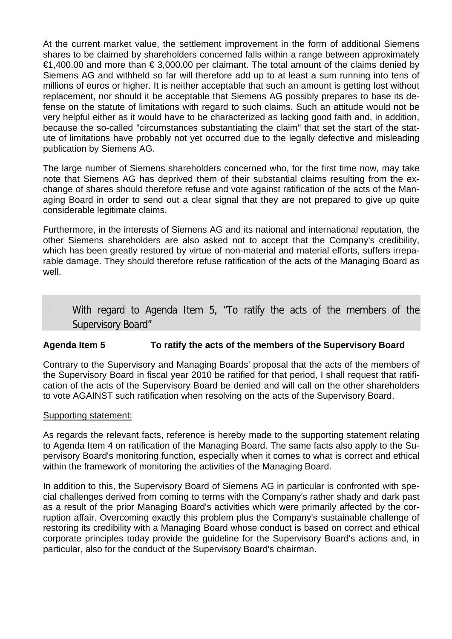At the current market value, the settlement improvement in the form of additional Siemens shares to be claimed by shareholders concerned falls within a range between approximately  $€1,400.00$  and more than  $€ 3,000.00$  per claimant. The total amount of the claims denied by Siemens AG and withheld so far will therefore add up to at least a sum running into tens of millions of euros or higher. It is neither acceptable that such an amount is getting lost without replacement, nor should it be acceptable that Siemens AG possibly prepares to base its defense on the statute of limitations with regard to such claims. Such an attitude would not be very helpful either as it would have to be characterized as lacking good faith and, in addition, because the so-called "circumstances substantiating the claim" that set the start of the statute of limitations have probably not yet occurred due to the legally defective and misleading publication by Siemens AG.

The large number of Siemens shareholders concerned who, for the first time now, may take note that Siemens AG has deprived them of their substantial claims resulting from the exchange of shares should therefore refuse and vote against ratification of the acts of the Managing Board in order to send out a clear signal that they are not prepared to give up quite considerable legitimate claims.

Furthermore, in the interests of Siemens AG and its national and international reputation, the other Siemens shareholders are also asked not to accept that the Company's credibility, which has been greatly restored by virtue of non-material and material efforts, suffers irreparable damage. They should therefore refuse ratification of the acts of the Managing Board as well.

With regard to Agenda Item 5, "To ratify the acts of the members of the Supervisory Board"

#### **Agenda Item 5 To ratify the acts of the members of the Supervisory Board**

Contrary to the Supervisory and Managing Boards' proposal that the acts of the members of the Supervisory Board in fiscal year 2010 be ratified for that period, I shall request that ratification of the acts of the Supervisory Board be denied and will call on the other shareholders to vote AGAINST such ratification when resolving on the acts of the Supervisory Board.

#### Supporting statement:

As regards the relevant facts, reference is hereby made to the supporting statement relating to Agenda Item 4 on ratification of the Managing Board. The same facts also apply to the Supervisory Board's monitoring function, especially when it comes to what is correct and ethical within the framework of monitoring the activities of the Managing Board.

In addition to this, the Supervisory Board of Siemens AG in particular is confronted with special challenges derived from coming to terms with the Company's rather shady and dark past as a result of the prior Managing Board's activities which were primarily affected by the corruption affair. Overcoming exactly this problem plus the Company's sustainable challenge of restoring its credibility with a Managing Board whose conduct is based on correct and ethical corporate principles today provide the guideline for the Supervisory Board's actions and, in particular, also for the conduct of the Supervisory Board's chairman.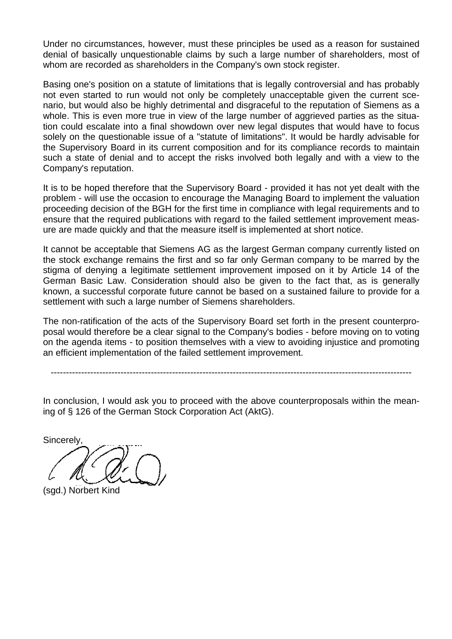Under no circumstances, however, must these principles be used as a reason for sustained denial of basically unquestionable claims by such a large number of shareholders, most of whom are recorded as shareholders in the Company's own stock register.

Basing one's position on a statute of limitations that is legally controversial and has probably not even started to run would not only be completely unacceptable given the current scenario, but would also be highly detrimental and disgraceful to the reputation of Siemens as a whole. This is even more true in view of the large number of aggrieved parties as the situation could escalate into a final showdown over new legal disputes that would have to focus solely on the questionable issue of a "statute of limitations". It would be hardly advisable for the Supervisory Board in its current composition and for its compliance records to maintain such a state of denial and to accept the risks involved both legally and with a view to the Company's reputation.

It is to be hoped therefore that the Supervisory Board - provided it has not yet dealt with the problem - will use the occasion to encourage the Managing Board to implement the valuation proceeding decision of the BGH for the first time in compliance with legal requirements and to ensure that the required publications with regard to the failed settlement improvement measure are made quickly and that the measure itself is implemented at short notice.

It cannot be acceptable that Siemens AG as the largest German company currently listed on the stock exchange remains the first and so far only German company to be marred by the stigma of denying a legitimate settlement improvement imposed on it by Article 14 of the German Basic Law. Consideration should also be given to the fact that, as is generally known, a successful corporate future cannot be based on a sustained failure to provide for a settlement with such a large number of Siemens shareholders.

The non-ratification of the acts of the Supervisory Board set forth in the present counterproposal would therefore be a clear signal to the Company's bodies - before moving on to voting on the agenda items - to position themselves with a view to avoiding injustice and promoting an efficient implementation of the failed settlement improvement.

-----------------------------------------------------------------------------------------------------------------------

In conclusion, I would ask you to proceed with the above counterproposals within the meaning of § 126 of the German Stock Corporation Act (AktG).

**Sincerely** 

(sgd.) Norbert Kind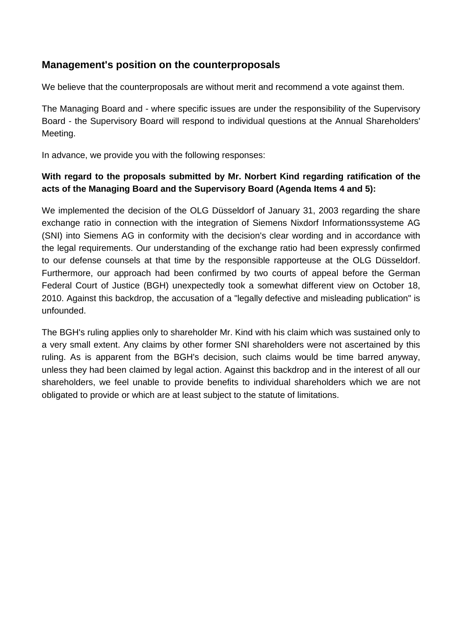### **Management's position on the counterproposals**

We believe that the counterproposals are without merit and recommend a vote against them.

The Managing Board and - where specific issues are under the responsibility of the Supervisory Board - the Supervisory Board will respond to individual questions at the Annual Shareholders' Meeting.

In advance, we provide you with the following responses:

### **With regard to the proposals submitted by Mr. Norbert Kind regarding ratification of the acts of the Managing Board and the Supervisory Board (Agenda Items 4 and 5):**

We implemented the decision of the OLG Düsseldorf of January 31, 2003 regarding the share exchange ratio in connection with the integration of Siemens Nixdorf Informationssysteme AG (SNI) into Siemens AG in conformity with the decision's clear wording and in accordance with the legal requirements. Our understanding of the exchange ratio had been expressly confirmed to our defense counsels at that time by the responsible rapporteuse at the OLG Düsseldorf. Furthermore, our approach had been confirmed by two courts of appeal before the German Federal Court of Justice (BGH) unexpectedly took a somewhat different view on October 18, 2010. Against this backdrop, the accusation of a "legally defective and misleading publication" is unfounded.

The BGH's ruling applies only to shareholder Mr. Kind with his claim which was sustained only to a very small extent. Any claims by other former SNI shareholders were not ascertained by this ruling. As is apparent from the BGH's decision, such claims would be time barred anyway, unless they had been claimed by legal action. Against this backdrop and in the interest of all our shareholders, we feel unable to provide benefits to individual shareholders which we are not obligated to provide or which are at least subject to the statute of limitations.